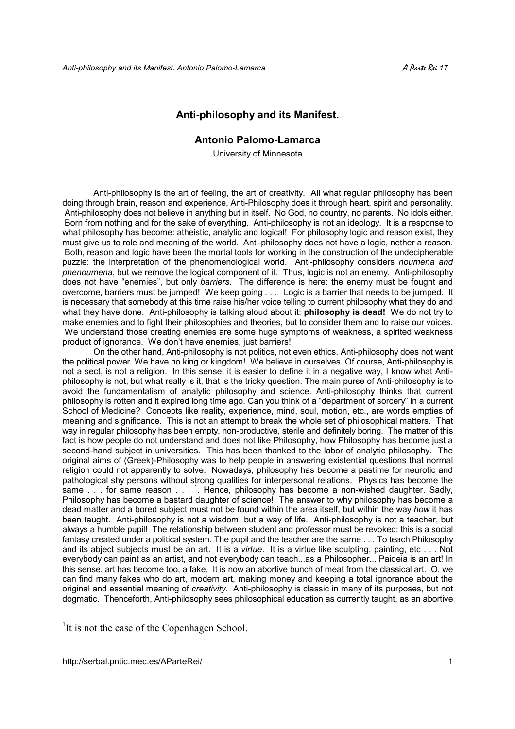# **Anti-philosophy and its Manifest.**

## **Antonio Palomo-Lamarca**

University of Minnesota

Anti-philosophy is the art of feeling, the art of creativity. All what regular philosophy has been doing through brain, reason and experience, Anti-Philosophy does it through heart, spirit and personality. Anti-philosophy does not believe in anything but in itself. No God, no country, no parents. No idols either. Born from nothing and for the sake of everything. Anti-philosophy is not an ideology. It is a response to what philosophy has become: atheistic, analytic and logical! For philosophy logic and reason exist, they must give us to role and meaning of the world. Anti-philosophy does not have a logic, nether a reason. Both, reason and logic have been the mortal tools for working in the construction of the undecipherable puzzle: the interpretation of the phenomenological world. Anti-philosophy considers *noumena and phenoumena*, but we remove the logical component of it. Thus, logic is not an enemy. Anti-philosophy does not have "enemies", but only *barriers*. The difference is here: the enemy must be fought and overcome, barriers must be jumped! We keep going . . . Logic is a barrier that needs to be jumped. It is necessary that somebody at this time raise his/her voice telling to current philosophy what they do and what they have done. Anti-philosophy is talking aloud about it: **philosophy is dead!** We do not try to make enemies and to fight their philosophies and theories, but to consider them and to raise our voices. We understand those creating enemies are some huge symptoms of weakness, a spirited weakness product of ignorance. We don't have enemies, just barriers!

On the other hand, Anti-philosophy is not politics, not even ethics. Anti-philosophy does not want the political power. We have no king or kingdom! We believe in ourselves. Of course, Anti-philosophy is not a sect, is not a religion. In this sense, it is easier to define it in a negative way, I know what Antiphilosophy is not, but what really is it, that is the tricky question. The main purse of Anti-philosophy is to avoid the fundamentalism of analytic philosophy and science. Anti-philosophy thinks that current philosophy is rotten and it expired long time ago. Can you think of a "department of sorcery" in a current School of Medicine? Concepts like reality, experience, mind, soul, motion, etc., are words empties of meaning and significance. This is not an attempt to break the whole set of philosophical matters. That way in regular philosophy has been empty, non-productive, sterile and definitely boring. The matter of this fact is how people do not understand and does not like Philosophy, how Philosophy has become just a second-hand subject in universities. This has been thanked to the labor of analytic philosophy. The original aims of (Greek)-Philosophy was to help people in answering existential questions that normal religion could not apparently to solve. Nowadays, philosophy has become a pastime for neurotic and pathological shy persons without strong qualities for interpersonal relations. Physics has become the same  $\ldots$  for same reason  $\ldots$   $\frac{1}{1}$ . Hence, philosophy has become a non-wished daughter. Sadly, Philosophy has become a bastard daughter of science! The answer to why philosophy has become a dead matter and a bored subject must not be found within the area itself, but within the way *how* it has been taught. Anti-philosophy is not a wisdom, but a way of life. Anti-philosophy is not a teacher, but always a humble pupil! The relationship between student and professor must be revoked: this is a social fantasy created under a political system. The pupil and the teacher are the same . . . To teach Philosophy and its abject subjects must be an art. It is a *virtue*. It is a virtue like sculpting, painting, etc . . . Not everybody can paint as an artist, and not everybody can teach...as a Philosopher... Paideia is an art! In this sense, art has become too, a fake. It is now an abortive bunch of meat from the classical art. O, we can find many fakes who do art, modern art, making money and keeping a total ignorance about the original and essential meaning of *creativity*. Anti-philosophy is classic in many of its purposes, but not dogmatic. Thenceforth, Anti-philosophy sees philosophical education as currently taught, as an abortive

 $\overline{a}$ 

<sup>&</sup>lt;sup>1</sup>It is not the case of the Copenhagen School.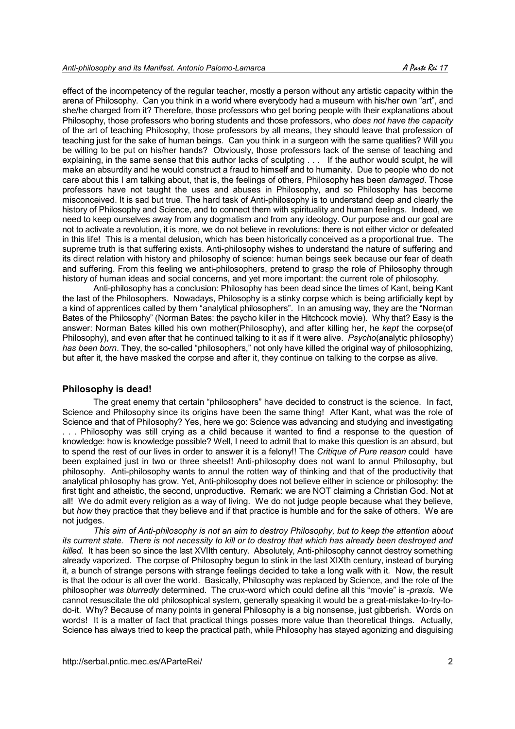effect of the incompetency of the regular teacher, mostly a person without any artistic capacity within the arena of Philosophy. Can you think in a world where everybody had a museum with his/her own "art", and she/he charged from it? Therefore, those professors who get boring people with their explanations about Philosophy, those professors who boring students and those professors, who *does not have the capacity* of the art of teaching Philosophy, those professors by all means, they should leave that profession of teaching just for the sake of human beings. Can you think in a surgeon with the same qualities? Will you be willing to be put on his/her hands? Obviously, those professors lack of the sense of teaching and explaining, in the same sense that this author lacks of sculpting . . . If the author would sculpt, he will make an absurdity and he would construct a fraud to himself and to humanity. Due to people who do not care about this I am talking about, that is, the feelings of others, Philosophy has been *damaged*. Those professors have not taught the uses and abuses in Philosophy, and so Philosophy has become misconceived. It is sad but true. The hard task of Anti-philosophy is to understand deep and clearly the history of Philosophy and Science, and to connect them with spirituality and human feelings. Indeed, we need to keep ourselves away from any dogmatism and from any ideology. Our purpose and our goal are not to activate a revolution, it is more, we do not believe in revolutions: there is not either victor or defeated in this life! This is a mental delusion, which has been historically conceived as a proportional true. The supreme truth is that suffering exists. Anti-philosophy wishes to understand the nature of suffering and its direct relation with history and philosophy of science: human beings seek because our fear of death and suffering. From this feeling we anti-philosophers, pretend to grasp the role of Philosophy through history of human ideas and social concerns, and yet more important: the current role of philosophy.

Anti-philosophy has a conclusion: Philosophy has been dead since the times of Kant, being Kant the last of the Philosophers. Nowadays, Philosophy is a stinky corpse which is being artificially kept by a kind of apprentices called by them "analytical philosophers". In an amusing way, they are the "Norman Bates of the Philosophy" (Norman Bates: the psycho killer in the Hitchcock movie). Why that? Easy is the answer: Norman Bates killed his own mother(Philosophy), and after killing her, he *kept* the corpse(of Philosophy), and even after that he continued talking to it as if it were alive. *Psycho*(analytic philosophy) *has been born*. They, the so-called "philosophers," not only have killed the original way of philosophizing, but after it, the have masked the corpse and after it, they continue on talking to the corpse as alive.

## **Philosophy is dead!**

The great enemy that certain "philosophers" have decided to construct is the science. In fact, Science and Philosophy since its origins have been the same thing! After Kant, what was the role of Science and that of Philosophy? Yes, here we go: Science was advancing and studying and investigating . . . Philosophy was still crying as a child because it wanted to find a response to the question of knowledge: how is knowledge possible? Well, I need to admit that to make this question is an absurd, but to spend the rest of our lives in order to answer it is a felony!! The *Critique of Pure reason* could have been explained just in two or three sheets!! Anti-philosophy does not want to annul Philosophy, but philosophy. Anti-philosophy wants to annul the rotten way of thinking and that of the productivity that analytical philosophy has grow. Yet, Anti-philosophy does not believe either in science or philosophy: the first tight and atheistic, the second, unproductive. Remark: we are NOT claiming a Christian God. Not at all! We do admit every religion as a way of living. We do not judge people because what they believe, but *how* they practice that they believe and if that practice is humble and for the sake of others. We are not judges.

*This aim of Anti-philosophy is not an aim to destroy Philosophy, but to keep the attention about its current state. There is not necessity to kill or to destroy that which has already been destroyed and killed.* It has been so since the last XVIIth century. Absolutely, Anti-philosophy cannot destroy something already vaporized. The corpse of Philosophy begun to stink in the last XIXth century, instead of burying it, a bunch of strange persons with strange feelings decided to take a long walk with it*.* Now, the result is that the odour is all over the world. Basically, Philosophy was replaced by Science, and the role of the philosopher *was blurredly* determined. The crux-word which could define all this "movie" is -*praxis*. We cannot resuscitate the old philosophical system, generally speaking it would be a great-mistake-to-try-todo-it. Why? Because of many points in general Philosophy is a big nonsense, just gibberish. Words on words! It is a matter of fact that practical things posses more value than theoretical things. Actually, Science has always tried to keep the practical path, while Philosophy has stayed agonizing and disguising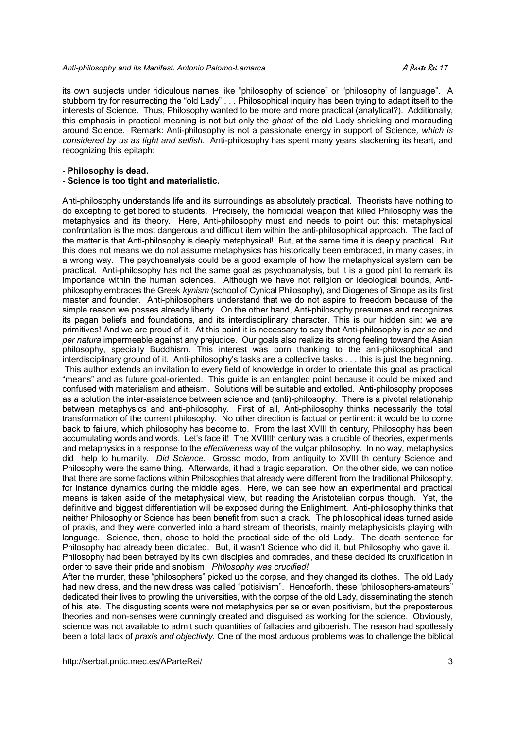its own subjects under ridiculous names like "philosophy of science" or "philosophy of language". A stubborn try for resurrecting the "old Lady" . . . Philosophical inquiry has been trying to adapt itself to the interests of Science. Thus, Philosophy wanted to be more and more practical (analytical?). Additionally, this emphasis in practical meaning is not but only the *ghost* of the old Lady shrieking and marauding around Science. Remark: Anti-philosophy is not a passionate energy in support of Science*, which is considered by us as tight and selfish*. Anti-philosophy has spent many years slackening its heart, and recognizing this epitaph:

#### **- Philosophy is dead.**

#### **- Science is too tight and materialistic.**

Anti-philosophy understands life and its surroundings as absolutely practical*.* Theorists have nothing to do excepting to get bored to students. Precisely, the homicidal weapon that killed Philosophy was the metaphysics and its theory. Here, Anti-philosophy must and needs to point out this: metaphysical confrontation is the most dangerous and difficult item within the anti-philosophical approach. The fact of the matter is that Anti-philosophy is deeply metaphysical! But, at the same time it is deeply practical. But this does not means we do not assume metaphysics has historically been embraced, in many cases, in a wrong way. The psychoanalysis could be a good example of how the metaphysical system can be practical. Anti-philosophy has not the same goal as psychoanalysis*,* but it is a good pint to remark its importance within the human sciences. Although we have not religion or ideological bounds, Antiphilosophy embraces the Greek *kynism* (school of Cynical Philosophy), and Diogenes of Sinope as its first master and founder. Anti-philosophers understand that we do not aspire to freedom because of the simple reason we posses already liberty. On the other hand, Anti-philosophy presumes and recognizes its pagan beliefs and foundations, and its interdisciplinary character. This is our hidden sin: we are primitives! And we are proud of it. At this point it is necessary to say that Anti-philosophy is *per se* and *per natura* impermeable against any prejudice. Our goals also realize its strong feeling toward the Asian philosophy, specially Buddhism. This interest was born thanking to the anti-philosophical and interdisciplinary ground of it. Anti-philosophy's tasks are a collective tasks . . . this is just the beginning. This author extends an invitation to every field of knowledge in order to orientate this goal as practical "means" and as future goal-oriented. This guide is an entangled point because it could be mixed and confused with materialism and atheism. Solutions will be suitable and extolled. Anti-philosophy proposes as *a* solution the inter-assistance between science and (anti)-philosophy. There is a pivotal relationship between metaphysics and anti-philosophy. First of all, Anti-philosophy thinks necessarily the total transformation of the current philosophy. No other direction is factual or pertinent: it would be to come back to failure, which philosophy has become to. From the last XVIII th century, Philosophy has been accumulating words and words. Let's face it! The XVIIIth century was a crucible of theories, experiments and metaphysics in a response to the *effectiveness* way of the vulgar philosophy. In no way, metaphysics did help to humanity. *Did Science.* Grosso modo, from antiquity to XVIII th century Science and Philosophy were the same thing. Afterwards, it had a tragic separation. On the other side, we can notice that there are some factions within Philosophies that already were different from the traditional Philosophy, for instance dynamics during the middle ages. Here, we can see how an experimental and practical means is taken aside of the metaphysical view, but reading the Aristotelian corpus though. Yet, the definitive and biggest differentiation will be exposed during the Enlightment. Anti-philosophy thinks that neither Philosophy or Science has been benefit from such a crack. The philosophical ideas turned aside of praxis, and they were converted into a hard stream of theorists, mainly metaphysicists playing with language. Science, then, chose to hold the practical side of the old Lady. The death sentence for Philosophy had already been dictated. But, it wasn't Science who did it, but Philosophy who gave it. Philosophy had been betrayed by its own disciples and comrades, and these decided its cruxification in order to save their pride and snobism. *Philosophy was crucified!*

After the murder, these "philosophers" picked up the corpse, and they changed its clothes. The old Lady had new dress, and the new dress was called "potisivism". Henceforth, these "philosophers-amateurs" dedicated their lives to prowling the universities, with the corpse of the old Lady, disseminating the stench of his late. The disgusting scents were not metaphysics per se or even positivism, but the preposterous theories and non-senses were cunningly created and disguised as working for the science. Obviously, science was not available to admit such quantities of fallacies and gibberish. The reason had spotlessly been a total lack of *praxis and objectivity.* One of the most arduous problems was to challenge the biblical